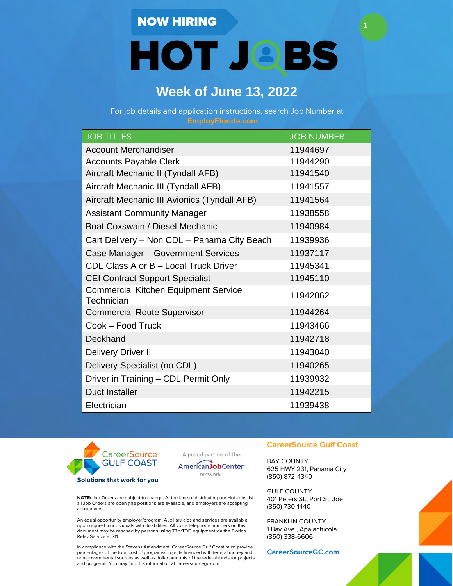**HOT JOBS** 

**1**

## **Week of June 13, 2022**

For job details and application instructions, search Job Number at

| <b>JOB TITLES</b>                                         | <b>JOB NUMBER</b> |
|-----------------------------------------------------------|-------------------|
| <b>Account Merchandiser</b>                               | 11944697          |
| <b>Accounts Payable Clerk</b>                             | 11944290          |
| Aircraft Mechanic II (Tyndall AFB)                        | 11941540          |
| Aircraft Mechanic III (Tyndall AFB)                       | 11941557          |
| Aircraft Mechanic III Avionics (Tyndall AFB)              | 11941564          |
| <b>Assistant Community Manager</b>                        | 11938558          |
| Boat Coxswain / Diesel Mechanic                           | 11940984          |
| Cart Delivery - Non CDL - Panama City Beach               | 11939936          |
| Case Manager - Government Services                        | 11937117          |
| CDL Class A or B - Local Truck Driver                     | 11945341          |
| <b>CEI Contract Support Specialist</b>                    | 11945110          |
| <b>Commercial Kitchen Equipment Service</b><br>Technician | 11942062          |
| <b>Commercial Route Supervisor</b>                        | 11944264          |
| Cook - Food Truck                                         | 11943466          |
| Deckhand                                                  | 11942718          |
| <b>Delivery Driver II</b>                                 | 11943040          |
| Delivery Specialist (no CDL)                              | 11940265          |
| Driver in Training - CDL Permit Only                      | 11939932          |
| <b>Duct Installer</b>                                     | 11942215          |
| Electrician                                               | 11939438          |



A proud partner of the



**NOTE:** Job Orders are subject to change. At the time of distributing our Hot Jobs list, all Job Orders are open (the positions are available, and employers are accepting applications).

An equal opportunity employer/program. Auxiliary aids and services are available upon request to individuals with disabilities. All voice telephone numbers on this document may be reached by persons using TTY/TDD equipment via the Florida Relay Service at 711.

In compliance with the Stevens Amendment. CareerSource Gulf Coast must provide percentages of the total cost of programs/projects financed with federal money and non-governmental sources as well as dollar amounts of the federal funds for projects and programs. You may find this information at careersourcegc.com.

### **CareerSource Gulf Coast**

BAY COUNTY 625 HWY 231, Panama City (850) 872-4340

GULF COUNTY 401 Peters St., Port St. Joe (850) 730-1440

FRANKLIN COUNTY 1 Bay Ave., Apalachicola (850) 338-6606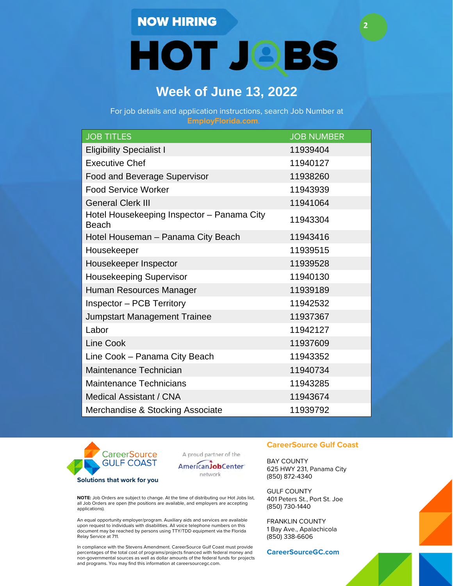**HOT JOBS** 

**2**

# **Week of June 13, 2022**

For job details and application instructions, search Job Number at

| <b>JOB TITLES</b>                                          | <b>JOB NUMBER</b> |
|------------------------------------------------------------|-------------------|
| <b>Eligibility Specialist I</b>                            | 11939404          |
| <b>Executive Chef</b>                                      | 11940127          |
| <b>Food and Beverage Supervisor</b>                        | 11938260          |
| <b>Food Service Worker</b>                                 | 11943939          |
| <b>General Clerk III</b>                                   | 11941064          |
| Hotel Housekeeping Inspector - Panama City<br><b>Beach</b> | 11943304          |
| Hotel Houseman - Panama City Beach                         | 11943416          |
| Housekeeper                                                | 11939515          |
| Housekeeper Inspector                                      | 11939528          |
| Housekeeping Supervisor                                    | 11940130          |
| Human Resources Manager                                    | 11939189          |
| <b>Inspector - PCB Territory</b>                           | 11942532          |
| <b>Jumpstart Management Trainee</b>                        | 11937367          |
| Labor                                                      | 11942127          |
| <b>Line Cook</b>                                           | 11937609          |
| Line Cook - Panama City Beach                              | 11943352          |
| Maintenance Technician                                     | 11940734          |
| <b>Maintenance Technicians</b>                             | 11943285          |
| Medical Assistant / CNA                                    | 11943674          |
| Merchandise & Stocking Associate                           | 11939792          |



A proud partner of the



**NOTE:** Job Orders are subject to change. At the time of distributing our Hot Jobs list, all Job Orders are open (the positions are available, and employers are accepting applications).

An equal opportunity employer/program. Auxiliary aids and services are available upon request to individuals with disabilities. All voice telephone numbers on this document may be reached by persons using TTY/TDD equipment via the Florida Relay Service at 711.

In compliance with the Stevens Amendment. CareerSource Gulf Coast must provide percentages of the total cost of programs/projects financed with federal money and non-governmental sources as well as dollar amounts of the federal funds for projects and programs. You may find this information at careersourcegc.com.

### **CareerSource Gulf Coast**

BAY COUNTY 625 HWY 231, Panama City (850) 872-4340

GULF COUNTY 401 Peters St., Port St. Joe (850) 730-1440

FRANKLIN COUNTY 1 Bay Ave., Apalachicola (850) 338-6606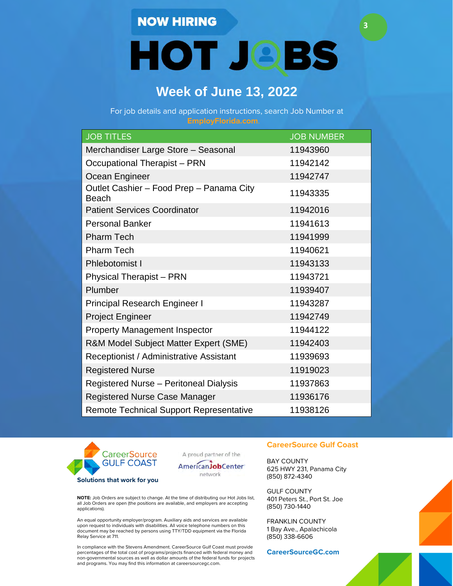**HOT JOBS** 

**3**

## **Week of June 13, 2022**

For job details and application instructions, search Job Number at

| <b>JOB TITLES</b>                                        | <b>JOB NUMBER</b> |
|----------------------------------------------------------|-------------------|
| Merchandiser Large Store - Seasonal                      | 11943960          |
| <b>Occupational Therapist - PRN</b>                      | 11942142          |
| Ocean Engineer                                           | 11942747          |
| Outlet Cashier - Food Prep - Panama City<br><b>Beach</b> | 11943335          |
| <b>Patient Services Coordinator</b>                      | 11942016          |
| <b>Personal Banker</b>                                   | 11941613          |
| <b>Pharm Tech</b>                                        | 11941999          |
| <b>Pharm Tech</b>                                        | 11940621          |
| Phlebotomist I                                           | 11943133          |
| <b>Physical Therapist - PRN</b>                          | 11943721          |
| Plumber                                                  | 11939407          |
| <b>Principal Research Engineer I</b>                     | 11943287          |
| <b>Project Engineer</b>                                  | 11942749          |
| <b>Property Management Inspector</b>                     | 11944122          |
| R&M Model Subject Matter Expert (SME)                    | 11942403          |
| Receptionist / Administrative Assistant                  | 11939693          |
| <b>Registered Nurse</b>                                  | 11919023          |
| <b>Registered Nurse - Peritoneal Dialysis</b>            | 11937863          |
| <b>Registered Nurse Case Manager</b>                     | 11936176          |
| <b>Remote Technical Support Representative</b>           | 11938126          |



A proud partner of the



**NOTE:** Job Orders are subject to change. At the time of distributing our Hot Jobs list, all Job Orders are open (the positions are available, and employers are accepting applications).

An equal opportunity employer/program. Auxiliary aids and services are available upon request to individuals with disabilities. All voice telephone numbers on this document may be reached by persons using TTY/TDD equipment via the Florida Relay Service at 711.

In compliance with the Stevens Amendment. CareerSource Gulf Coast must provide percentages of the total cost of programs/projects financed with federal money and non-governmental sources as well as dollar amounts of the federal funds for projects and programs. You may find this information at careersourcegc.com.

### **CareerSource Gulf Coast**

BAY COUNTY 625 HWY 231, Panama City (850) 872-4340

GULF COUNTY 401 Peters St., Port St. Joe (850) 730-1440

FRANKLIN COUNTY 1 Bay Ave., Apalachicola (850) 338-6606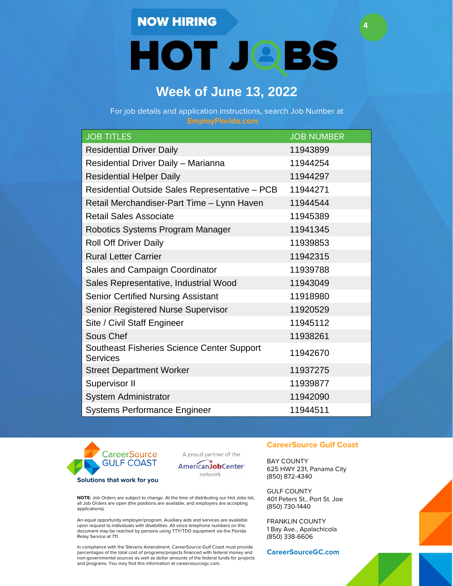**HOT JOBS** 

**4**

## **Week of June 13, 2022**

For job details and application instructions, search Job Number at

| <b>JOB TITLES</b>                                                    | <b>JOB NUMBER</b> |
|----------------------------------------------------------------------|-------------------|
| <b>Residential Driver Daily</b>                                      | 11943899          |
| Residential Driver Daily - Marianna                                  | 11944254          |
| <b>Residential Helper Daily</b>                                      | 11944297          |
| Residential Outside Sales Representative - PCB                       | 11944271          |
| Retail Merchandiser-Part Time - Lynn Haven                           | 11944544          |
| <b>Retail Sales Associate</b>                                        | 11945389          |
| Robotics Systems Program Manager                                     | 11941345          |
| <b>Roll Off Driver Daily</b>                                         | 11939853          |
| <b>Rural Letter Carrier</b>                                          | 11942315          |
| Sales and Campaign Coordinator                                       | 11939788          |
| Sales Representative, Industrial Wood                                | 11943049          |
| <b>Senior Certified Nursing Assistant</b>                            | 11918980          |
| <b>Senior Registered Nurse Supervisor</b>                            | 11920529          |
| Site / Civil Staff Engineer                                          | 11945112          |
| Sous Chef                                                            | 11938261          |
| <b>Southeast Fisheries Science Center Support</b><br><b>Services</b> | 11942670          |
| <b>Street Department Worker</b>                                      | 11937275          |
| Supervisor II                                                        | 11939877          |
| System Administrator                                                 | 11942090          |
| <b>Systems Performance Engineer</b>                                  | 11944511          |



A proud partner of the



**NOTE:** Job Orders are subject to change. At the time of distributing our Hot Jobs list, all Job Orders are open (the positions are available, and employers are accepting applications).

An equal opportunity employer/program. Auxiliary aids and services are available upon request to individuals with disabilities. All voice telephone numbers on this document may be reached by persons using TTY/TDD equipment via the Florida Relay Service at 711.

In compliance with the Stevens Amendment. CareerSource Gulf Coast must provide percentages of the total cost of programs/projects financed with federal money and non-governmental sources as well as dollar amounts of the federal funds for projects and programs. You may find this information at careersourcegc.com.

### **CareerSource Gulf Coast**

BAY COUNTY 625 HWY 231, Panama City (850) 872-4340

GULF COUNTY 401 Peters St., Port St. Joe (850) 730-1440

FRANKLIN COUNTY 1 Bay Ave., Apalachicola (850) 338-6606